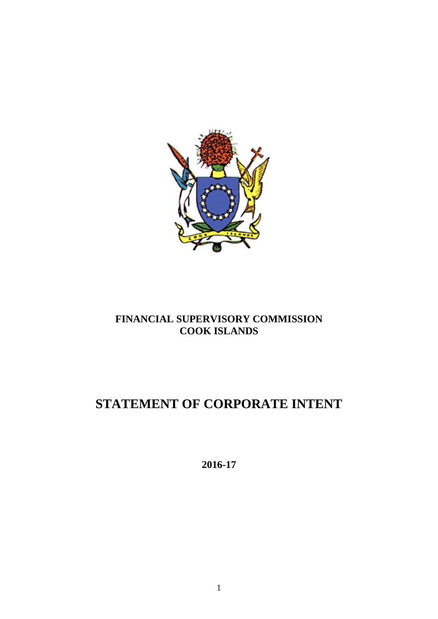

## **FINANCIAL SUPERVISORY COMMISSION COOK ISLANDS**

# **STATEMENT OF CORPORATE INTENT**

**2016-17**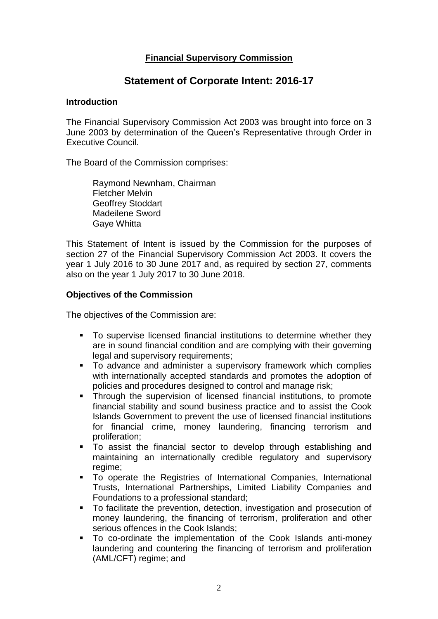### **Financial Supervisory Commission**

## **Statement of Corporate Intent: 2016-17**

#### **Introduction**

The Financial Supervisory Commission Act 2003 was brought into force on 3 June 2003 by determination of the Queen's Representative through Order in Executive Council.

The Board of the Commission comprises:

Raymond Newnham, Chairman Fletcher Melvin Geoffrey Stoddart Madeilene Sword Gaye Whitta

This Statement of Intent is issued by the Commission for the purposes of section 27 of the Financial Supervisory Commission Act 2003. It covers the year 1 July 2016 to 30 June 2017 and, as required by section 27, comments also on the year 1 July 2017 to 30 June 2018.

#### **Objectives of the Commission**

The objectives of the Commission are:

- To supervise licensed financial institutions to determine whether they are in sound financial condition and are complying with their governing legal and supervisory requirements;
- To advance and administer a supervisory framework which complies with internationally accepted standards and promotes the adoption of policies and procedures designed to control and manage risk;
- **Through the supervision of licensed financial institutions, to promote** financial stability and sound business practice and to assist the Cook Islands Government to prevent the use of licensed financial institutions for financial crime, money laundering, financing terrorism and proliferation;
- To assist the financial sector to develop through establishing and maintaining an internationally credible regulatory and supervisory regime;
- To operate the Registries of International Companies, International Trusts, International Partnerships, Limited Liability Companies and Foundations to a professional standard;
- To facilitate the prevention, detection, investigation and prosecution of money laundering, the financing of terrorism, proliferation and other serious offences in the Cook Islands;
- To co-ordinate the implementation of the Cook Islands anti-money laundering and countering the financing of terrorism and proliferation (AML/CFT) regime; and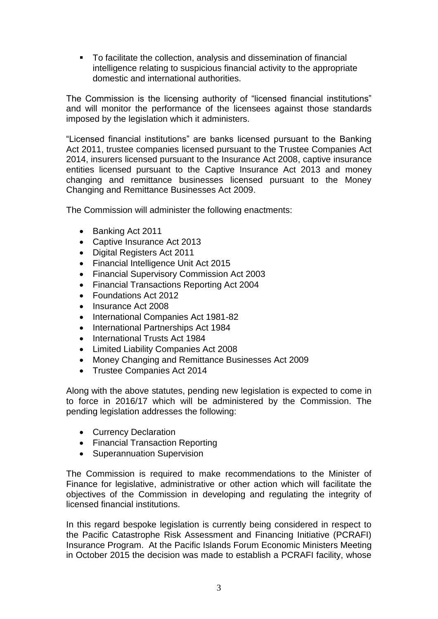To facilitate the collection, analysis and dissemination of financial intelligence relating to suspicious financial activity to the appropriate domestic and international authorities.

The Commission is the licensing authority of "licensed financial institutions" and will monitor the performance of the licensees against those standards imposed by the legislation which it administers.

"Licensed financial institutions" are banks licensed pursuant to the Banking Act 2011, trustee companies licensed pursuant to the Trustee Companies Act 2014, insurers licensed pursuant to the Insurance Act 2008, captive insurance entities licensed pursuant to the Captive Insurance Act 2013 and money changing and remittance businesses licensed pursuant to the Money Changing and Remittance Businesses Act 2009.

The Commission will administer the following enactments:

- Banking Act 2011
- Captive Insurance Act 2013
- Digital Registers Act 2011
- Financial Intelligence Unit Act 2015
- Financial Supervisory Commission Act 2003
- Financial Transactions Reporting Act 2004
- Foundations Act 2012
- Insurance Act 2008
- International Companies Act 1981-82
- International Partnerships Act 1984
- International Trusts Act 1984
- Limited Liability Companies Act 2008
- Money Changing and Remittance Businesses Act 2009
- Trustee Companies Act 2014

Along with the above statutes, pending new legislation is expected to come in to force in 2016/17 which will be administered by the Commission. The pending legislation addresses the following:

- Currency Declaration
- Financial Transaction Reporting
- Superannuation Supervision

The Commission is required to make recommendations to the Minister of Finance for legislative, administrative or other action which will facilitate the objectives of the Commission in developing and regulating the integrity of licensed financial institutions.

In this regard bespoke legislation is currently being considered in respect to the Pacific Catastrophe Risk Assessment and Financing Initiative (PCRAFI) Insurance Program. At the Pacific Islands Forum Economic Ministers Meeting in October 2015 the decision was made to establish a PCRAFI facility, whose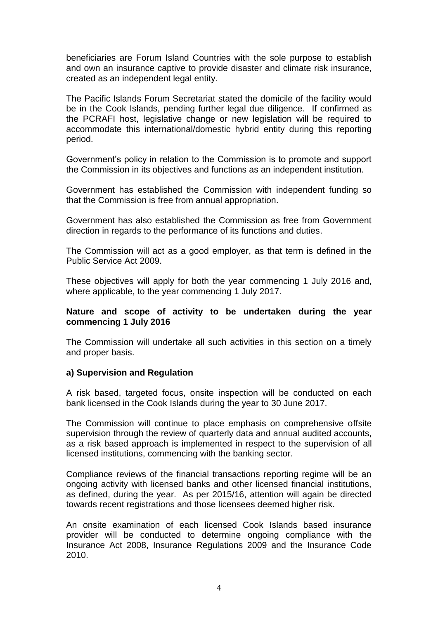beneficiaries are Forum Island Countries with the sole purpose to establish and own an insurance captive to provide disaster and climate risk insurance, created as an independent legal entity.

The Pacific Islands Forum Secretariat stated the domicile of the facility would be in the Cook Islands, pending further legal due diligence. If confirmed as the PCRAFI host, legislative change or new legislation will be required to accommodate this international/domestic hybrid entity during this reporting period.

Government's policy in relation to the Commission is to promote and support the Commission in its objectives and functions as an independent institution.

Government has established the Commission with independent funding so that the Commission is free from annual appropriation.

Government has also established the Commission as free from Government direction in regards to the performance of its functions and duties.

The Commission will act as a good employer, as that term is defined in the Public Service Act 2009.

These objectives will apply for both the year commencing 1 July 2016 and, where applicable, to the year commencing 1 July 2017.

#### **Nature and scope of activity to be undertaken during the year commencing 1 July 2016**

The Commission will undertake all such activities in this section on a timely and proper basis.

#### **a) Supervision and Regulation**

A risk based, targeted focus, onsite inspection will be conducted on each bank licensed in the Cook Islands during the year to 30 June 2017.

The Commission will continue to place emphasis on comprehensive offsite supervision through the review of quarterly data and annual audited accounts, as a risk based approach is implemented in respect to the supervision of all licensed institutions, commencing with the banking sector.

Compliance reviews of the financial transactions reporting regime will be an ongoing activity with licensed banks and other licensed financial institutions, as defined, during the year. As per 2015/16, attention will again be directed towards recent registrations and those licensees deemed higher risk.

An onsite examination of each licensed Cook Islands based insurance provider will be conducted to determine ongoing compliance with the Insurance Act 2008, Insurance Regulations 2009 and the Insurance Code 2010.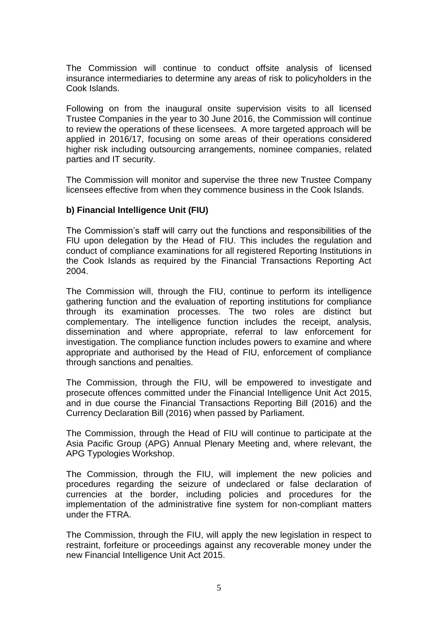The Commission will continue to conduct offsite analysis of licensed insurance intermediaries to determine any areas of risk to policyholders in the Cook Islands.

Following on from the inaugural onsite supervision visits to all licensed Trustee Companies in the year to 30 June 2016, the Commission will continue to review the operations of these licensees. A more targeted approach will be applied in 2016/17, focusing on some areas of their operations considered higher risk including outsourcing arrangements, nominee companies, related parties and IT security.

The Commission will monitor and supervise the three new Trustee Company licensees effective from when they commence business in the Cook Islands.

#### **b) Financial Intelligence Unit (FIU)**

The Commission's staff will carry out the functions and responsibilities of the FlU upon delegation by the Head of FIU. This includes the regulation and conduct of compliance examinations for all registered Reporting Institutions in the Cook Islands as required by the Financial Transactions Reporting Act 2004.

The Commission will, through the FIU, continue to perform its intelligence gathering function and the evaluation of reporting institutions for compliance through its examination processes. The two roles are distinct but complementary. The intelligence function includes the receipt, analysis, dissemination and where appropriate, referral to law enforcement for investigation. The compliance function includes powers to examine and where appropriate and authorised by the Head of FIU, enforcement of compliance through sanctions and penalties.

The Commission, through the FIU, will be empowered to investigate and prosecute offences committed under the Financial Intelligence Unit Act 2015, and in due course the Financial Transactions Reporting Bill (2016) and the Currency Declaration Bill (2016) when passed by Parliament.

The Commission, through the Head of FIU will continue to participate at the Asia Pacific Group (APG) Annual Plenary Meeting and, where relevant, the APG Typologies Workshop.

The Commission, through the FIU, will implement the new policies and procedures regarding the seizure of undeclared or false declaration of currencies at the border, including policies and procedures for the implementation of the administrative fine system for non-compliant matters under the FTRA.

The Commission, through the FIU, will apply the new legislation in respect to restraint, forfeiture or proceedings against any recoverable money under the new Financial Intelligence Unit Act 2015.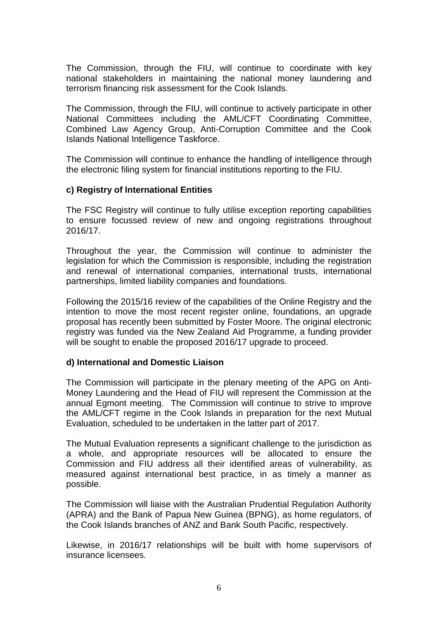The Commission, through the FIU, will continue to coordinate with key national stakeholders in maintaining the national money laundering and terrorism financing risk assessment for the Cook Islands.

The Commission, through the FIU, will continue to actively participate in other National Committees including the AML/CFT Coordinating Committee, Combined Law Agency Group, Anti-Corruption Committee and the Cook Islands National Intelligence Taskforce.

The Commission will continue to enhance the handling of intelligence through the electronic filing system for financial institutions reporting to the FIU.

#### **c) Registry of International Entities**

The FSC Registry will continue to fully utilise exception reporting capabilities to ensure focussed review of new and ongoing registrations throughout 2016/17.

Throughout the year, the Commission will continue to administer the legislation for which the Commission is responsible, including the registration and renewal of international companies, international trusts, international partnerships, limited liability companies and foundations.

Following the 2015/16 review of the capabilities of the Online Registry and the intention to move the most recent register online, foundations, an upgrade proposal has recently been submitted by Foster Moore. The original electronic registry was funded via the New Zealand Aid Programme, a funding provider will be sought to enable the proposed 2016/17 upgrade to proceed.

#### **d) International and Domestic Liaison**

The Commission will participate in the plenary meeting of the APG on Anti-Money Laundering and the Head of FIU will represent the Commission at the annual Egmont meeting. The Commission will continue to strive to improve the AML/CFT regime in the Cook Islands in preparation for the next Mutual Evaluation, scheduled to be undertaken in the latter part of 2017.

The Mutual Evaluation represents a significant challenge to the jurisdiction as a whole, and appropriate resources will be allocated to ensure the Commission and FIU address all their identified areas of vulnerability, as measured against international best practice, in as timely a manner as possible.

The Commission will liaise with the Australian Prudential Regulation Authority (APRA) and the Bank of Papua New Guinea (BPNG), as home regulators, of the Cook Islands branches of ANZ and Bank South Pacific, respectively.

Likewise, in 2016/17 relationships will be built with home supervisors of insurance licensees.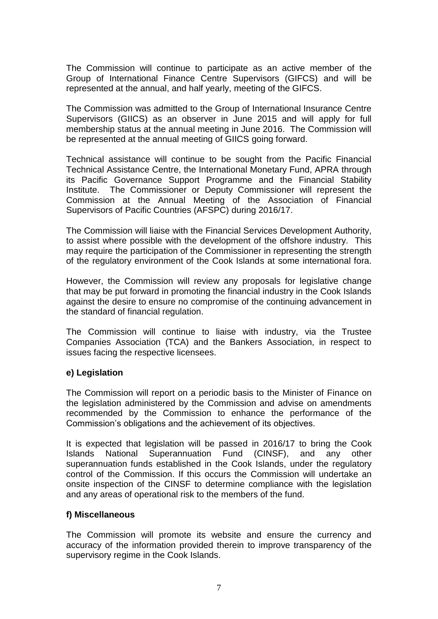The Commission will continue to participate as an active member of the Group of International Finance Centre Supervisors (GIFCS) and will be represented at the annual, and half yearly, meeting of the GIFCS.

The Commission was admitted to the Group of International Insurance Centre Supervisors (GIICS) as an observer in June 2015 and will apply for full membership status at the annual meeting in June 2016. The Commission will be represented at the annual meeting of GIICS going forward.

Technical assistance will continue to be sought from the Pacific Financial Technical Assistance Centre, the International Monetary Fund, APRA through its Pacific Governance Support Programme and the Financial Stability Institute. The Commissioner or Deputy Commissioner will represent the Commission at the Annual Meeting of the Association of Financial Supervisors of Pacific Countries (AFSPC) during 2016/17.

The Commission will liaise with the Financial Services Development Authority, to assist where possible with the development of the offshore industry. This may require the participation of the Commissioner in representing the strength of the regulatory environment of the Cook Islands at some international fora.

However, the Commission will review any proposals for legislative change that may be put forward in promoting the financial industry in the Cook Islands against the desire to ensure no compromise of the continuing advancement in the standard of financial regulation.

The Commission will continue to liaise with industry, via the Trustee Companies Association (TCA) and the Bankers Association, in respect to issues facing the respective licensees.

#### **e) Legislation**

The Commission will report on a periodic basis to the Minister of Finance on the legislation administered by the Commission and advise on amendments recommended by the Commission to enhance the performance of the Commission's obligations and the achievement of its objectives.

It is expected that legislation will be passed in 2016/17 to bring the Cook Islands National Superannuation Fund (CINSF), and any other superannuation funds established in the Cook Islands, under the regulatory control of the Commission. If this occurs the Commission will undertake an onsite inspection of the CINSF to determine compliance with the legislation and any areas of operational risk to the members of the fund.

#### **f) Miscellaneous**

The Commission will promote its website and ensure the currency and accuracy of the information provided therein to improve transparency of the supervisory regime in the Cook Islands.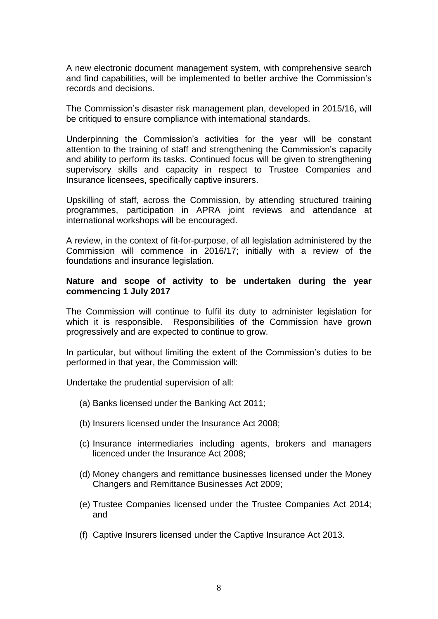A new electronic document management system, with comprehensive search and find capabilities, will be implemented to better archive the Commission's records and decisions.

The Commission's disaster risk management plan, developed in 2015/16, will be critiqued to ensure compliance with international standards.

Underpinning the Commission's activities for the year will be constant attention to the training of staff and strengthening the Commission's capacity and ability to perform its tasks. Continued focus will be given to strengthening supervisory skills and capacity in respect to Trustee Companies and Insurance licensees, specifically captive insurers.

Upskilling of staff, across the Commission, by attending structured training programmes, participation in APRA joint reviews and attendance at international workshops will be encouraged.

A review, in the context of fit-for-purpose, of all legislation administered by the Commission will commence in 2016/17; initially with a review of the foundations and insurance legislation.

#### **Nature and scope of activity to be undertaken during the year commencing 1 July 2017**

The Commission will continue to fulfil its duty to administer legislation for which it is responsible. Responsibilities of the Commission have grown progressively and are expected to continue to grow.

In particular, but without limiting the extent of the Commission's duties to be performed in that year, the Commission will:

Undertake the prudential supervision of all:

- (a) Banks licensed under the Banking Act 2011;
- (b) Insurers licensed under the Insurance Act 2008;
- (c) Insurance intermediaries including agents, brokers and managers licenced under the Insurance Act 2008;
- (d) Money changers and remittance businesses licensed under the Money Changers and Remittance Businesses Act 2009;
- (e) Trustee Companies licensed under the Trustee Companies Act 2014; and
- (f) Captive Insurers licensed under the Captive Insurance Act 2013.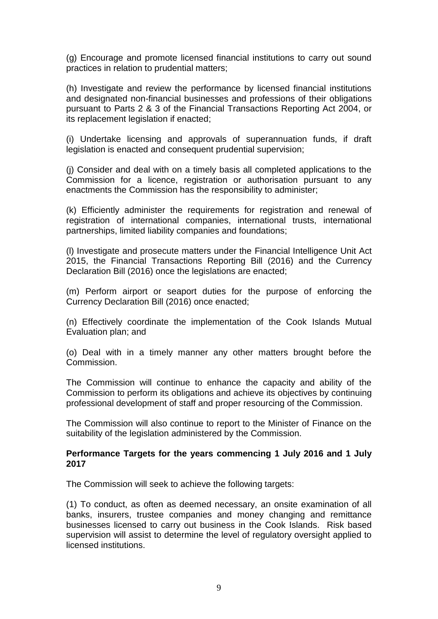(g) Encourage and promote licensed financial institutions to carry out sound practices in relation to prudential matters;

(h) Investigate and review the performance by licensed financial institutions and designated non-financial businesses and professions of their obligations pursuant to Parts 2 & 3 of the Financial Transactions Reporting Act 2004, or its replacement legislation if enacted;

(i) Undertake licensing and approvals of superannuation funds, if draft legislation is enacted and consequent prudential supervision;

(j) Consider and deal with on a timely basis all completed applications to the Commission for a licence, registration or authorisation pursuant to any enactments the Commission has the responsibility to administer;

(k) Efficiently administer the requirements for registration and renewal of registration of international companies, international trusts, international partnerships, limited liability companies and foundations;

(l) Investigate and prosecute matters under the Financial Intelligence Unit Act 2015, the Financial Transactions Reporting Bill (2016) and the Currency Declaration Bill (2016) once the legislations are enacted;

(m) Perform airport or seaport duties for the purpose of enforcing the Currency Declaration Bill (2016) once enacted;

(n) Effectively coordinate the implementation of the Cook Islands Mutual Evaluation plan; and

(o) Deal with in a timely manner any other matters brought before the Commission.

The Commission will continue to enhance the capacity and ability of the Commission to perform its obligations and achieve its objectives by continuing professional development of staff and proper resourcing of the Commission.

The Commission will also continue to report to the Minister of Finance on the suitability of the legislation administered by the Commission.

#### **Performance Targets for the years commencing 1 July 2016 and 1 July 2017**

The Commission will seek to achieve the following targets:

(1) To conduct, as often as deemed necessary, an onsite examination of all banks, insurers, trustee companies and money changing and remittance businesses licensed to carry out business in the Cook Islands. Risk based supervision will assist to determine the level of regulatory oversight applied to licensed institutions.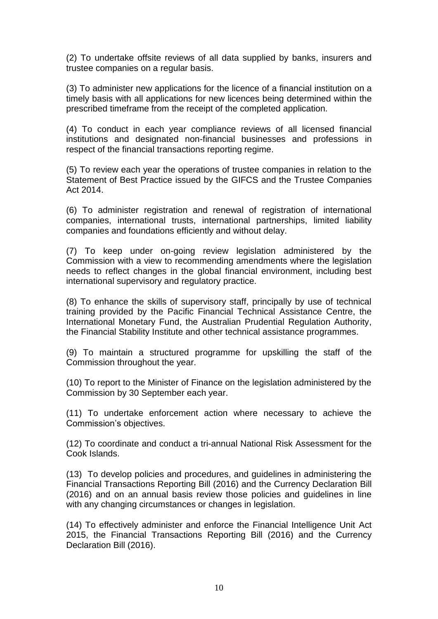(2) To undertake offsite reviews of all data supplied by banks, insurers and trustee companies on a regular basis.

(3) To administer new applications for the licence of a financial institution on a timely basis with all applications for new licences being determined within the prescribed timeframe from the receipt of the completed application.

(4) To conduct in each year compliance reviews of all licensed financial institutions and designated non-financial businesses and professions in respect of the financial transactions reporting regime.

(5) To review each year the operations of trustee companies in relation to the Statement of Best Practice issued by the GIFCS and the Trustee Companies Act 2014.

(6) To administer registration and renewal of registration of international companies, international trusts, international partnerships, limited liability companies and foundations efficiently and without delay.

(7) To keep under on-going review legislation administered by the Commission with a view to recommending amendments where the legislation needs to reflect changes in the global financial environment, including best international supervisory and regulatory practice.

(8) To enhance the skills of supervisory staff, principally by use of technical training provided by the Pacific Financial Technical Assistance Centre, the International Monetary Fund, the Australian Prudential Regulation Authority, the Financial Stability Institute and other technical assistance programmes.

(9) To maintain a structured programme for upskilling the staff of the Commission throughout the year.

(10) To report to the Minister of Finance on the legislation administered by the Commission by 30 September each year.

(11) To undertake enforcement action where necessary to achieve the Commission's objectives.

(12) To coordinate and conduct a tri-annual National Risk Assessment for the Cook Islands.

(13) To develop policies and procedures, and guidelines in administering the Financial Transactions Reporting Bill (2016) and the Currency Declaration Bill (2016) and on an annual basis review those policies and guidelines in line with any changing circumstances or changes in legislation.

(14) To effectively administer and enforce the Financial Intelligence Unit Act 2015, the Financial Transactions Reporting Bill (2016) and the Currency Declaration Bill (2016).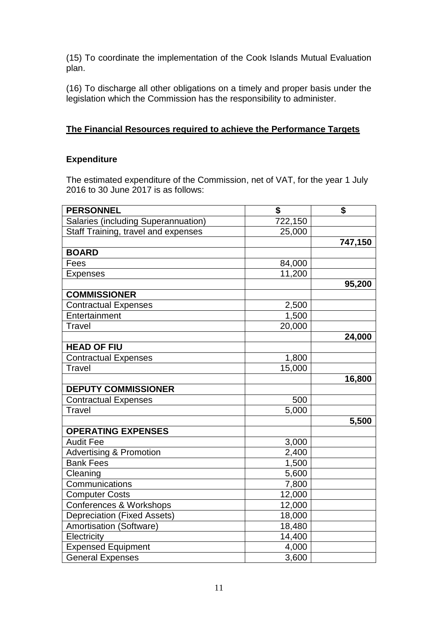(15) To coordinate the implementation of the Cook Islands Mutual Evaluation plan.

(16) To discharge all other obligations on a timely and proper basis under the legislation which the Commission has the responsibility to administer.

## **The Financial Resources required to achieve the Performance Targets**

### **Expenditure**

The estimated expenditure of the Commission, net of VAT, for the year 1 July 2016 to 30 June 2017 is as follows:

| <b>PERSONNEL</b>                    | \$      | \$      |
|-------------------------------------|---------|---------|
| Salaries (including Superannuation) | 722,150 |         |
| Staff Training, travel and expenses | 25,000  |         |
|                                     |         | 747,150 |
| <b>BOARD</b>                        |         |         |
| Fees                                | 84,000  |         |
| <b>Expenses</b>                     | 11,200  |         |
|                                     |         | 95,200  |
| <b>COMMISSIONER</b>                 |         |         |
| <b>Contractual Expenses</b>         | 2,500   |         |
| Entertainment                       | 1,500   |         |
| <b>Travel</b>                       | 20,000  |         |
|                                     |         | 24,000  |
| <b>HEAD OF FIU</b>                  |         |         |
| <b>Contractual Expenses</b>         | 1,800   |         |
| Travel                              | 15,000  |         |
|                                     |         | 16,800  |
| <b>DEPUTY COMMISSIONER</b>          |         |         |
| <b>Contractual Expenses</b>         | 500     |         |
| <b>Travel</b>                       | 5,000   |         |
|                                     |         | 5,500   |
| <b>OPERATING EXPENSES</b>           |         |         |
| <b>Audit Fee</b>                    | 3,000   |         |
| <b>Advertising &amp; Promotion</b>  | 2,400   |         |
| <b>Bank Fees</b>                    | 1,500   |         |
| Cleaning                            | 5,600   |         |
| Communications                      | 7,800   |         |
| <b>Computer Costs</b>               | 12,000  |         |
| <b>Conferences &amp; Workshops</b>  | 12,000  |         |
| <b>Depreciation (Fixed Assets)</b>  | 18,000  |         |
| <b>Amortisation (Software)</b>      | 18,480  |         |
| Electricity                         | 14,400  |         |
| <b>Expensed Equipment</b>           | 4,000   |         |
| General Expenses                    | 3,600   |         |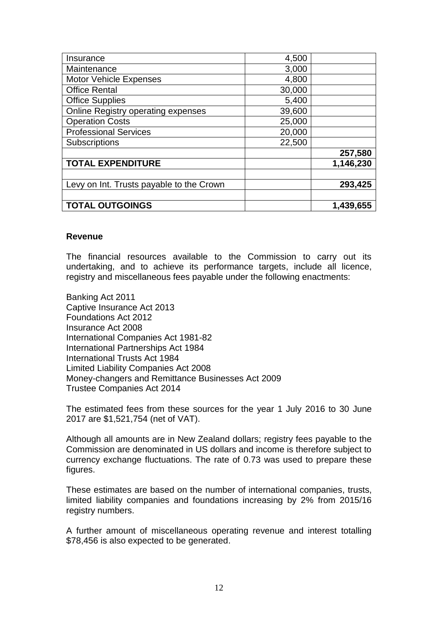| Insurance                                 | 4,500  |           |
|-------------------------------------------|--------|-----------|
| Maintenance                               | 3,000  |           |
| <b>Motor Vehicle Expenses</b>             | 4,800  |           |
| <b>Office Rental</b>                      | 30,000 |           |
| <b>Office Supplies</b>                    | 5,400  |           |
| <b>Online Registry operating expenses</b> | 39,600 |           |
| <b>Operation Costs</b>                    | 25,000 |           |
| <b>Professional Services</b>              | 20,000 |           |
| Subscriptions                             | 22,500 |           |
|                                           |        | 257,580   |
| <b>TOTAL EXPENDITURE</b>                  |        | 1,146,230 |
|                                           |        |           |
| Levy on Int. Trusts payable to the Crown  |        | 293,425   |
|                                           |        |           |
| <b>TOTAL OUTGOINGS</b>                    |        | 1,439,655 |

#### **Revenue**

The financial resources available to the Commission to carry out its undertaking, and to achieve its performance targets, include all licence, registry and miscellaneous fees payable under the following enactments:

Banking Act 2011 Captive Insurance Act 2013 Foundations Act 2012 Insurance Act 2008 International Companies Act 1981-82 International Partnerships Act 1984 International Trusts Act 1984 Limited Liability Companies Act 2008 Money-changers and Remittance Businesses Act 2009 Trustee Companies Act 2014

The estimated fees from these sources for the year 1 July 2016 to 30 June 2017 are \$1,521,754 (net of VAT).

Although all amounts are in New Zealand dollars; registry fees payable to the Commission are denominated in US dollars and income is therefore subject to currency exchange fluctuations. The rate of 0.73 was used to prepare these figures.

These estimates are based on the number of international companies, trusts, limited liability companies and foundations increasing by 2% from 2015/16 registry numbers.

A further amount of miscellaneous operating revenue and interest totalling \$78,456 is also expected to be generated.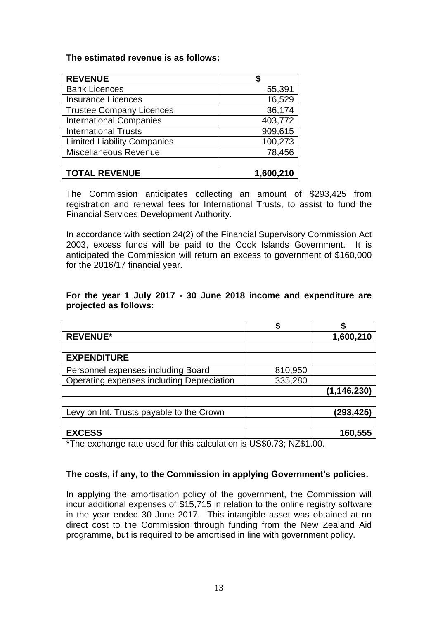#### **The estimated revenue is as follows:**

| <b>REVENUE</b>                     |           |
|------------------------------------|-----------|
| <b>Bank Licences</b>               | 55,391    |
| <b>Insurance Licences</b>          | 16,529    |
| <b>Trustee Company Licences</b>    | 36,174    |
| <b>International Companies</b>     | 403,772   |
| <b>International Trusts</b>        | 909,615   |
| <b>Limited Liability Companies</b> | 100,273   |
| <b>Miscellaneous Revenue</b>       | 78,456    |
|                                    |           |
| <b>TOTAL REVENUE</b>               | 1,600,210 |

The Commission anticipates collecting an amount of \$293,425 from registration and renewal fees for International Trusts, to assist to fund the Financial Services Development Authority.

In accordance with section 24(2) of the Financial Supervisory Commission Act 2003, excess funds will be paid to the Cook Islands Government. It is anticipated the Commission will return an excess to government of \$160,000 for the 2016/17 financial year.

| <b>REVENUE*</b>                           |         | 1,600,210     |
|-------------------------------------------|---------|---------------|
|                                           |         |               |
| <b>EXPENDITURE</b>                        |         |               |
| Personnel expenses including Board        | 810,950 |               |
| Operating expenses including Depreciation | 335,280 |               |
|                                           |         | (1, 146, 230) |
|                                           |         |               |
| Levy on Int. Trusts payable to the Crown  |         | (293,425)     |
|                                           |         |               |
| <b>EXCESS</b>                             |         | 160,555       |

#### **For the year 1 July 2017 - 30 June 2018 income and expenditure are projected as follows:**

\*The exchange rate used for this calculation is US\$0.73; NZ\$1.00.

#### **The costs, if any, to the Commission in applying Government's policies.**

In applying the amortisation policy of the government, the Commission will incur additional expenses of \$15,715 in relation to the online registry software in the year ended 30 June 2017. This intangible asset was obtained at no direct cost to the Commission through funding from the New Zealand Aid programme, but is required to be amortised in line with government policy.